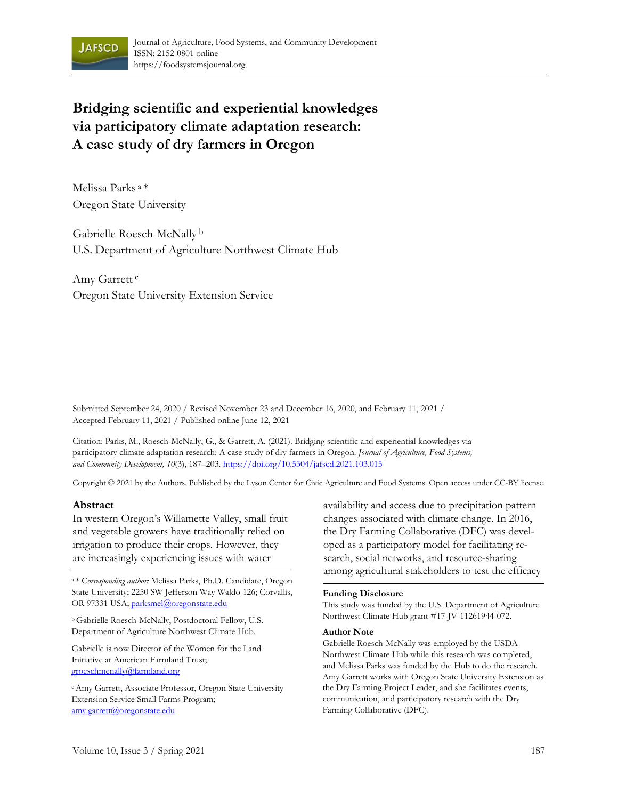

# **Bridging scientific and experiential knowledges via participatory climate adaptation research: A case study of dry farmers in Oregon**

Melissa Parks a \* Oregon State University

Gabrielle Roesch-McNally b U.S. Department of Agriculture Northwest Climate Hub

Amy Garrett c Oregon State University Extension Service

Submitted September 24, 2020 / Revised November 23 and December 16, 2020, and February 11, 2021 / Accepted February 11, 2021 / Published online June 12, 2021

Citation: Parks, M., Roesch-McNally, G., & Garrett, A. (2021). Bridging scientific and experiential knowledges via participatory climate adaptation research: A case study of dry farmers in Oregon. *Journal of Agriculture, Food Systems, and Community Development, 10*(3), 187–203. https://doi.org/10.5304/jafscd.2021.103.015

Copyright © 2021 by the Authors. Published by the Lyson Center for Civic Agriculture and Food Systems. Open access under CC-BY license.

#### **Abstract**

In western Oregon's Willamette Valley, small fruit and vegetable growers have traditionally relied on irrigation to produce their crops. However, they are increasingly experiencing issues with water

State University; 2250 SW Jefferson Way Waldo 126; Corvallis, OR 97331 USA; parksmel@oregonstate.edu

b Gabrielle Roesch-McNally, Postdoctoral Fellow, U.S. Department of Agriculture Northwest Climate Hub.

Gabrielle is now Director of the Women for the Land Initiative at American Farmland Trust; groeschmcnally@farmland.org

c Amy Garrett, Associate Professor, Oregon State University Extension Service Small Farms Program; amy.garrett@oregonstate.edu

availability and access due to precipitation pattern changes associated with climate change. In 2016, the Dry Farming Collaborative (DFC) was developed as a participatory model for facilitating research, social networks, and resource-sharing among agricultural stakeholders to test the efficacy a \* Corresponding author: Melissa Parks, Ph.D. Candidate, Oregon

#### **Funding Disclosure**

This study was funded by the U.S. Department of Agriculture Northwest Climate Hub grant #17-JV-11261944-072.

#### **Author Note**

Gabrielle Roesch-McNally was employed by the USDA Northwest Climate Hub while this research was completed, and Melissa Parks was funded by the Hub to do the research. Amy Garrett works with Oregon State University Extension as the Dry Farming Project Leader, and she facilitates events, communication, and participatory research with the Dry Farming Collaborative (DFC).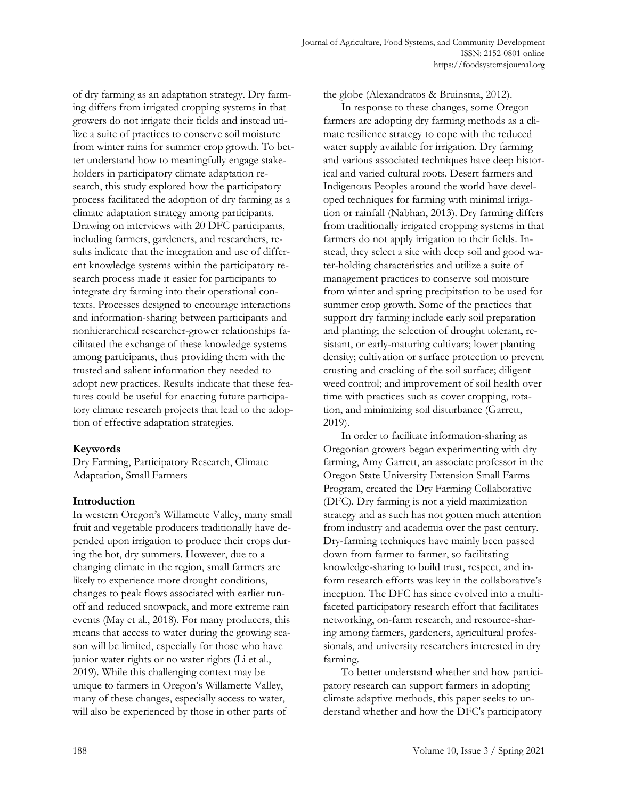of dry farming as an adaptation strategy. Dry farming differs from irrigated cropping systems in that growers do not irrigate their fields and instead utilize a suite of practices to conserve soil moisture from winter rains for summer crop growth. To better understand how to meaningfully engage stakeholders in participatory climate adaptation research, this study explored how the participatory process facilitated the adoption of dry farming as a climate adaptation strategy among participants. Drawing on interviews with 20 DFC participants, including farmers, gardeners, and researchers, results indicate that the integration and use of different knowledge systems within the participatory research process made it easier for participants to integrate dry farming into their operational contexts. Processes designed to encourage interactions and information-sharing between participants and nonhierarchical researcher-grower relationships facilitated the exchange of these knowledge systems among participants, thus providing them with the trusted and salient information they needed to adopt new practices. Results indicate that these features could be useful for enacting future participatory climate research projects that lead to the adoption of effective adaptation strategies.

# **Keywords**

Dry Farming, Participatory Research, Climate Adaptation, Small Farmers

# **Introduction**

In western Oregon's Willamette Valley, many small fruit and vegetable producers traditionally have depended upon irrigation to produce their crops during the hot, dry summers. However, due to a changing climate in the region, small farmers are likely to experience more drought conditions, changes to peak flows associated with earlier runoff and reduced snowpack, and more extreme rain events (May et al., 2018). For many producers, this means that access to water during the growing season will be limited, especially for those who have junior water rights or no water rights (Li et al., 2019). While this challenging context may be unique to farmers in Oregon's Willamette Valley, many of these changes, especially access to water, will also be experienced by those in other parts of

the globe (Alexandratos & Bruinsma, 2012).

 In response to these changes, some Oregon farmers are adopting dry farming methods as a climate resilience strategy to cope with the reduced water supply available for irrigation. Dry farming and various associated techniques have deep historical and varied cultural roots. Desert farmers and Indigenous Peoples around the world have developed techniques for farming with minimal irrigation or rainfall (Nabhan, 2013). Dry farming differs from traditionally irrigated cropping systems in that farmers do not apply irrigation to their fields. Instead, they select a site with deep soil and good water-holding characteristics and utilize a suite of management practices to conserve soil moisture from winter and spring precipitation to be used for summer crop growth. Some of the practices that support dry farming include early soil preparation and planting; the selection of drought tolerant, resistant, or early-maturing cultivars; lower planting density; cultivation or surface protection to prevent crusting and cracking of the soil surface; diligent weed control; and improvement of soil health over time with practices such as cover cropping, rotation, and minimizing soil disturbance (Garrett, 2019).

 In order to facilitate information-sharing as Oregonian growers began experimenting with dry farming, Amy Garrett, an associate professor in the Oregon State University Extension Small Farms Program, created the Dry Farming Collaborative (DFC). Dry farming is not a yield maximization strategy and as such has not gotten much attention from industry and academia over the past century. Dry-farming techniques have mainly been passed down from farmer to farmer, so facilitating knowledge-sharing to build trust, respect, and inform research efforts was key in the collaborative's inception. The DFC has since evolved into a multifaceted participatory research effort that facilitates networking, on-farm research, and resource-sharing among farmers, gardeners, agricultural professionals, and university researchers interested in dry farming.

 To better understand whether and how participatory research can support farmers in adopting climate adaptive methods, this paper seeks to understand whether and how the DFC's participatory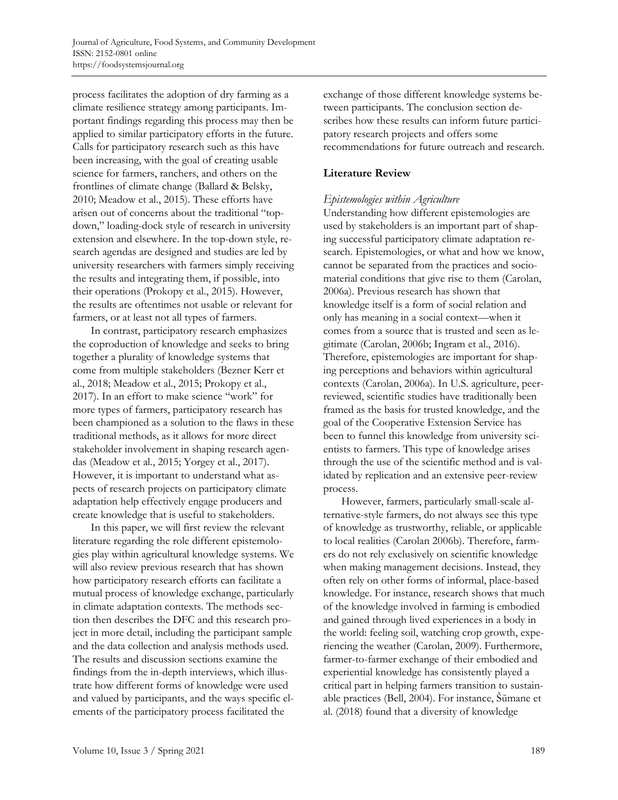process facilitates the adoption of dry farming as a climate resilience strategy among participants. Important findings regarding this process may then be applied to similar participatory efforts in the future. Calls for participatory research such as this have been increasing, with the goal of creating usable science for farmers, ranchers, and others on the frontlines of climate change (Ballard & Belsky, 2010; Meadow et al., 2015). These efforts have arisen out of concerns about the traditional "topdown," loading-dock style of research in university extension and elsewhere. In the top-down style, research agendas are designed and studies are led by university researchers with farmers simply receiving the results and integrating them, if possible, into their operations (Prokopy et al., 2015). However, the results are oftentimes not usable or relevant for farmers, or at least not all types of farmers.

 In contrast, participatory research emphasizes the coproduction of knowledge and seeks to bring together a plurality of knowledge systems that come from multiple stakeholders (Bezner Kerr et al., 2018; Meadow et al., 2015; Prokopy et al., 2017). In an effort to make science "work" for more types of farmers, participatory research has been championed as a solution to the flaws in these traditional methods, as it allows for more direct stakeholder involvement in shaping research agendas (Meadow et al., 2015; Yorgey et al., 2017). However, it is important to understand what aspects of research projects on participatory climate adaptation help effectively engage producers and create knowledge that is useful to stakeholders.

 In this paper, we will first review the relevant literature regarding the role different epistemologies play within agricultural knowledge systems. We will also review previous research that has shown how participatory research efforts can facilitate a mutual process of knowledge exchange, particularly in climate adaptation contexts. The methods section then describes the DFC and this research project in more detail, including the participant sample and the data collection and analysis methods used. The results and discussion sections examine the findings from the in-depth interviews, which illustrate how different forms of knowledge were used and valued by participants, and the ways specific elements of the participatory process facilitated the

exchange of those different knowledge systems between participants. The conclusion section describes how these results can inform future participatory research projects and offers some recommendations for future outreach and research.

# **Literature Review**

# *Epistemologies within Agriculture*

Understanding how different epistemologies are used by stakeholders is an important part of shaping successful participatory climate adaptation research. Epistemologies, or what and how we know, cannot be separated from the practices and sociomaterial conditions that give rise to them (Carolan, 2006a). Previous research has shown that knowledge itself is a form of social relation and only has meaning in a social context—when it comes from a source that is trusted and seen as legitimate (Carolan, 2006b; Ingram et al., 2016). Therefore, epistemologies are important for shaping perceptions and behaviors within agricultural contexts (Carolan, 2006a). In U.S. agriculture, peerreviewed, scientific studies have traditionally been framed as the basis for trusted knowledge, and the goal of the Cooperative Extension Service has been to funnel this knowledge from university scientists to farmers. This type of knowledge arises through the use of the scientific method and is validated by replication and an extensive peer-review process.

 However, farmers, particularly small-scale alternative-style farmers, do not always see this type of knowledge as trustworthy, reliable, or applicable to local realities (Carolan 2006b). Therefore, farmers do not rely exclusively on scientific knowledge when making management decisions. Instead, they often rely on other forms of informal, place-based knowledge. For instance, research shows that much of the knowledge involved in farming is embodied and gained through lived experiences in a body in the world: feeling soil, watching crop growth, experiencing the weather (Carolan, 2009). Furthermore, farmer-to-farmer exchange of their embodied and experiential knowledge has consistently played a critical part in helping farmers transition to sustainable practices (Bell, 2004). For instance, Šūmane et al. (2018) found that a diversity of knowledge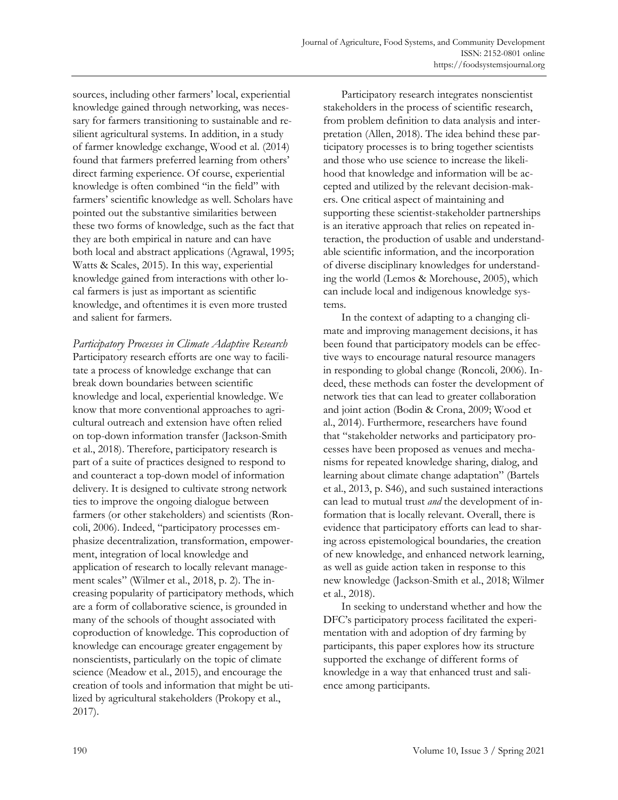sources, including other farmers' local, experiential knowledge gained through networking, was necessary for farmers transitioning to sustainable and resilient agricultural systems. In addition, in a study of farmer knowledge exchange, Wood et al. (2014) found that farmers preferred learning from others' direct farming experience. Of course, experiential knowledge is often combined "in the field" with farmers' scientific knowledge as well. Scholars have pointed out the substantive similarities between these two forms of knowledge, such as the fact that they are both empirical in nature and can have both local and abstract applications (Agrawal, 1995; Watts & Scales, 2015). In this way, experiential knowledge gained from interactions with other local farmers is just as important as scientific knowledge, and oftentimes it is even more trusted and salient for farmers.

*Participatory Processes in Climate Adaptive Research*  Participatory research efforts are one way to facilitate a process of knowledge exchange that can break down boundaries between scientific knowledge and local, experiential knowledge. We know that more conventional approaches to agricultural outreach and extension have often relied on top-down information transfer (Jackson-Smith et al., 2018). Therefore, participatory research is part of a suite of practices designed to respond to and counteract a top-down model of information delivery. It is designed to cultivate strong network ties to improve the ongoing dialogue between farmers (or other stakeholders) and scientists (Roncoli, 2006). Indeed, "participatory processes emphasize decentralization, transformation, empowerment, integration of local knowledge and application of research to locally relevant management scales" (Wilmer et al., 2018, p. 2). The increasing popularity of participatory methods, which are a form of collaborative science, is grounded in many of the schools of thought associated with coproduction of knowledge. This coproduction of knowledge can encourage greater engagement by nonscientists, particularly on the topic of climate science (Meadow et al., 2015), and encourage the creation of tools and information that might be utilized by agricultural stakeholders (Prokopy et al., 2017).

 Participatory research integrates nonscientist stakeholders in the process of scientific research, from problem definition to data analysis and interpretation (Allen, 2018). The idea behind these participatory processes is to bring together scientists and those who use science to increase the likelihood that knowledge and information will be accepted and utilized by the relevant decision-makers. One critical aspect of maintaining and supporting these scientist-stakeholder partnerships is an iterative approach that relies on repeated interaction, the production of usable and understandable scientific information, and the incorporation of diverse disciplinary knowledges for understanding the world (Lemos & Morehouse, 2005), which can include local and indigenous knowledge systems.

 In the context of adapting to a changing climate and improving management decisions, it has been found that participatory models can be effective ways to encourage natural resource managers in responding to global change (Roncoli, 2006). Indeed, these methods can foster the development of network ties that can lead to greater collaboration and joint action (Bodin & Crona, 2009; Wood et al., 2014). Furthermore, researchers have found that "stakeholder networks and participatory processes have been proposed as venues and mechanisms for repeated knowledge sharing, dialog, and learning about climate change adaptation" (Bartels et al., 2013, p. S46), and such sustained interactions can lead to mutual trust *and* the development of information that is locally relevant. Overall, there is evidence that participatory efforts can lead to sharing across epistemological boundaries, the creation of new knowledge, and enhanced network learning, as well as guide action taken in response to this new knowledge (Jackson-Smith et al., 2018; Wilmer et al., 2018).

 In seeking to understand whether and how the DFC's participatory process facilitated the experimentation with and adoption of dry farming by participants, this paper explores how its structure supported the exchange of different forms of knowledge in a way that enhanced trust and salience among participants.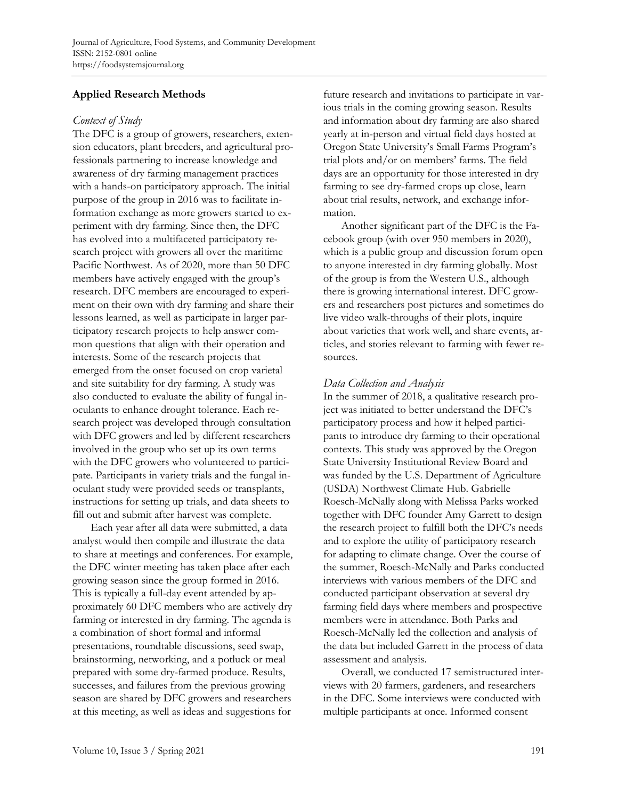# **Applied Research Methods**

#### *Context of Study*

The DFC is a group of growers, researchers, extension educators, plant breeders, and agricultural professionals partnering to increase knowledge and awareness of dry farming management practices with a hands-on participatory approach. The initial purpose of the group in 2016 was to facilitate information exchange as more growers started to experiment with dry farming. Since then, the DFC has evolved into a multifaceted participatory research project with growers all over the maritime Pacific Northwest. As of 2020, more than 50 DFC members have actively engaged with the group's research. DFC members are encouraged to experiment on their own with dry farming and share their lessons learned, as well as participate in larger participatory research projects to help answer common questions that align with their operation and interests. Some of the research projects that emerged from the onset focused on crop varietal and site suitability for dry farming. A study was also conducted to evaluate the ability of fungal inoculants to enhance drought tolerance. Each research project was developed through consultation with DFC growers and led by different researchers involved in the group who set up its own terms with the DFC growers who volunteered to participate. Participants in variety trials and the fungal inoculant study were provided seeds or transplants, instructions for setting up trials, and data sheets to fill out and submit after harvest was complete.

 Each year after all data were submitted, a data analyst would then compile and illustrate the data to share at meetings and conferences. For example, the DFC winter meeting has taken place after each growing season since the group formed in 2016. This is typically a full-day event attended by approximately 60 DFC members who are actively dry farming or interested in dry farming. The agenda is a combination of short formal and informal presentations, roundtable discussions, seed swap, brainstorming, networking, and a potluck or meal prepared with some dry-farmed produce. Results, successes, and failures from the previous growing season are shared by DFC growers and researchers at this meeting, as well as ideas and suggestions for

future research and invitations to participate in various trials in the coming growing season. Results and information about dry farming are also shared yearly at in-person and virtual field days hosted at Oregon State University's Small Farms Program's trial plots and/or on members' farms. The field days are an opportunity for those interested in dry farming to see dry-farmed crops up close, learn about trial results, network, and exchange information.

 Another significant part of the DFC is the Facebook group (with over 950 members in 2020), which is a public group and discussion forum open to anyone interested in dry farming globally. Most of the group is from the Western U.S., although there is growing international interest. DFC growers and researchers post pictures and sometimes do live video walk-throughs of their plots, inquire about varieties that work well, and share events, articles, and stories relevant to farming with fewer resources.

# *Data Collection and Analysis*

In the summer of 2018, a qualitative research project was initiated to better understand the DFC's participatory process and how it helped participants to introduce dry farming to their operational contexts. This study was approved by the Oregon State University Institutional Review Board and was funded by the U.S. Department of Agriculture (USDA) Northwest Climate Hub. Gabrielle Roesch-McNally along with Melissa Parks worked together with DFC founder Amy Garrett to design the research project to fulfill both the DFC's needs and to explore the utility of participatory research for adapting to climate change. Over the course of the summer, Roesch-McNally and Parks conducted interviews with various members of the DFC and conducted participant observation at several dry farming field days where members and prospective members were in attendance. Both Parks and Roesch-McNally led the collection and analysis of the data but included Garrett in the process of data assessment and analysis.

 Overall, we conducted 17 semistructured interviews with 20 farmers, gardeners, and researchers in the DFC. Some interviews were conducted with multiple participants at once. Informed consent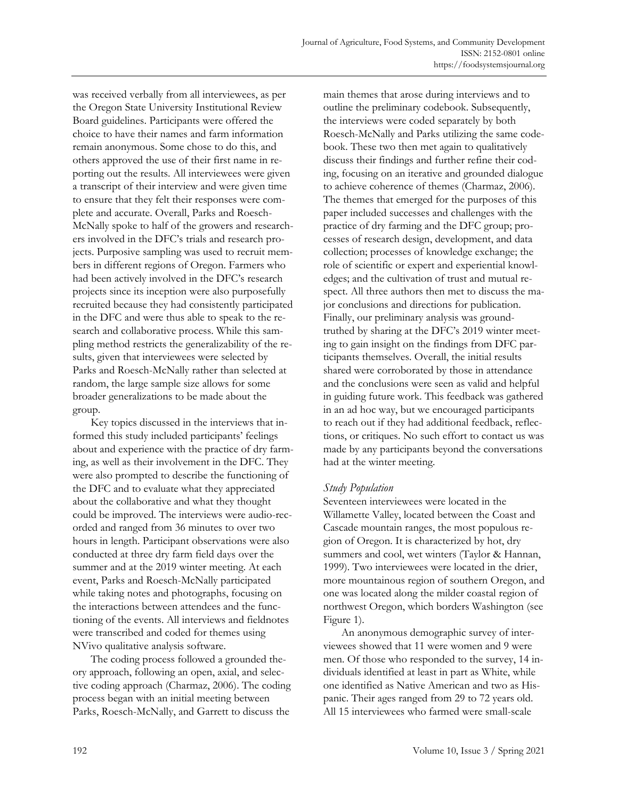was received verbally from all interviewees, as per the Oregon State University Institutional Review Board guidelines. Participants were offered the choice to have their names and farm information remain anonymous. Some chose to do this, and others approved the use of their first name in reporting out the results. All interviewees were given a transcript of their interview and were given time to ensure that they felt their responses were complete and accurate. Overall, Parks and Roesch-McNally spoke to half of the growers and researchers involved in the DFC's trials and research projects. Purposive sampling was used to recruit members in different regions of Oregon. Farmers who had been actively involved in the DFC's research projects since its inception were also purposefully recruited because they had consistently participated in the DFC and were thus able to speak to the research and collaborative process. While this sampling method restricts the generalizability of the results, given that interviewees were selected by Parks and Roesch-McNally rather than selected at random, the large sample size allows for some broader generalizations to be made about the group.

 Key topics discussed in the interviews that informed this study included participants' feelings about and experience with the practice of dry farming, as well as their involvement in the DFC. They were also prompted to describe the functioning of the DFC and to evaluate what they appreciated about the collaborative and what they thought could be improved. The interviews were audio-recorded and ranged from 36 minutes to over two hours in length. Participant observations were also conducted at three dry farm field days over the summer and at the 2019 winter meeting. At each event, Parks and Roesch-McNally participated while taking notes and photographs, focusing on the interactions between attendees and the functioning of the events. All interviews and fieldnotes were transcribed and coded for themes using NVivo qualitative analysis software.

 The coding process followed a grounded theory approach, following an open, axial, and selective coding approach (Charmaz, 2006). The coding process began with an initial meeting between Parks, Roesch-McNally, and Garrett to discuss the

main themes that arose during interviews and to outline the preliminary codebook. Subsequently, the interviews were coded separately by both Roesch-McNally and Parks utilizing the same codebook. These two then met again to qualitatively discuss their findings and further refine their coding, focusing on an iterative and grounded dialogue to achieve coherence of themes (Charmaz, 2006). The themes that emerged for the purposes of this paper included successes and challenges with the practice of dry farming and the DFC group; processes of research design, development, and data collection; processes of knowledge exchange; the role of scientific or expert and experiential knowledges; and the cultivation of trust and mutual respect. All three authors then met to discuss the major conclusions and directions for publication. Finally, our preliminary analysis was groundtruthed by sharing at the DFC's 2019 winter meeting to gain insight on the findings from DFC participants themselves. Overall, the initial results shared were corroborated by those in attendance and the conclusions were seen as valid and helpful in guiding future work. This feedback was gathered in an ad hoc way, but we encouraged participants to reach out if they had additional feedback, reflections, or critiques. No such effort to contact us was made by any participants beyond the conversations had at the winter meeting.

## *Study Population*

Seventeen interviewees were located in the Willamette Valley, located between the Coast and Cascade mountain ranges, the most populous region of Oregon. It is characterized by hot, dry summers and cool, wet winters (Taylor & Hannan, 1999). Two interviewees were located in the drier, more mountainous region of southern Oregon, and one was located along the milder coastal region of northwest Oregon, which borders Washington (see Figure 1).

 An anonymous demographic survey of interviewees showed that 11 were women and 9 were men. Of those who responded to the survey, 14 individuals identified at least in part as White, while one identified as Native American and two as Hispanic. Their ages ranged from 29 to 72 years old. All 15 interviewees who farmed were small-scale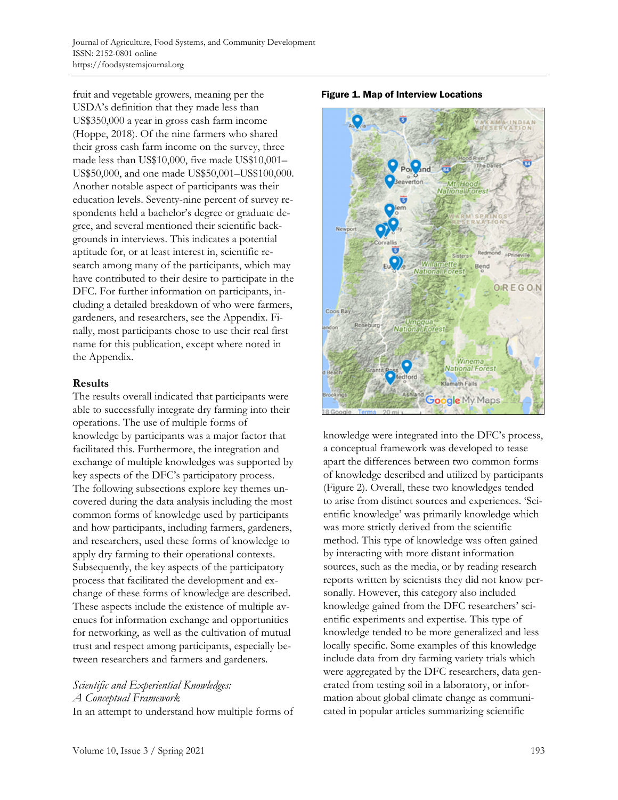fruit and vegetable growers, meaning per the USDA's definition that they made less than US\$350,000 a year in gross cash farm income (Hoppe, 2018). Of the nine farmers who shared their gross cash farm income on the survey, three made less than US\$10,000, five made US\$10,001– US\$50,000, and one made US\$50,001–US\$100,000. Another notable aspect of participants was their education levels. Seventy-nine percent of survey respondents held a bachelor's degree or graduate degree, and several mentioned their scientific backgrounds in interviews. This indicates a potential aptitude for, or at least interest in, scientific research among many of the participants, which may have contributed to their desire to participate in the DFC. For further information on participants, including a detailed breakdown of who were farmers, gardeners, and researchers, see the Appendix. Finally, most participants chose to use their real first name for this publication, except where noted in the Appendix.

## **Results**

The results overall indicated that participants were able to successfully integrate dry farming into their operations. The use of multiple forms of knowledge by participants was a major factor that facilitated this. Furthermore, the integration and exchange of multiple knowledges was supported by key aspects of the DFC's participatory process. The following subsections explore key themes uncovered during the data analysis including the most common forms of knowledge used by participants and how participants, including farmers, gardeners, and researchers, used these forms of knowledge to apply dry farming to their operational contexts. Subsequently, the key aspects of the participatory process that facilitated the development and exchange of these forms of knowledge are described. These aspects include the existence of multiple avenues for information exchange and opportunities for networking, as well as the cultivation of mutual trust and respect among participants, especially between researchers and farmers and gardeners.

## *Scientific and Experiential Knowledges: A Conceptual Framework*  In an attempt to understand how multiple forms of





knowledge were integrated into the DFC's process, a conceptual framework was developed to tease apart the differences between two common forms of knowledge described and utilized by participants (Figure 2). Overall, these two knowledges tended to arise from distinct sources and experiences. 'Scientific knowledge' was primarily knowledge which was more strictly derived from the scientific method. This type of knowledge was often gained by interacting with more distant information sources, such as the media, or by reading research reports written by scientists they did not know personally. However, this category also included knowledge gained from the DFC researchers' scientific experiments and expertise. This type of knowledge tended to be more generalized and less locally specific. Some examples of this knowledge include data from dry farming variety trials which were aggregated by the DFC researchers, data generated from testing soil in a laboratory, or information about global climate change as communicated in popular articles summarizing scientific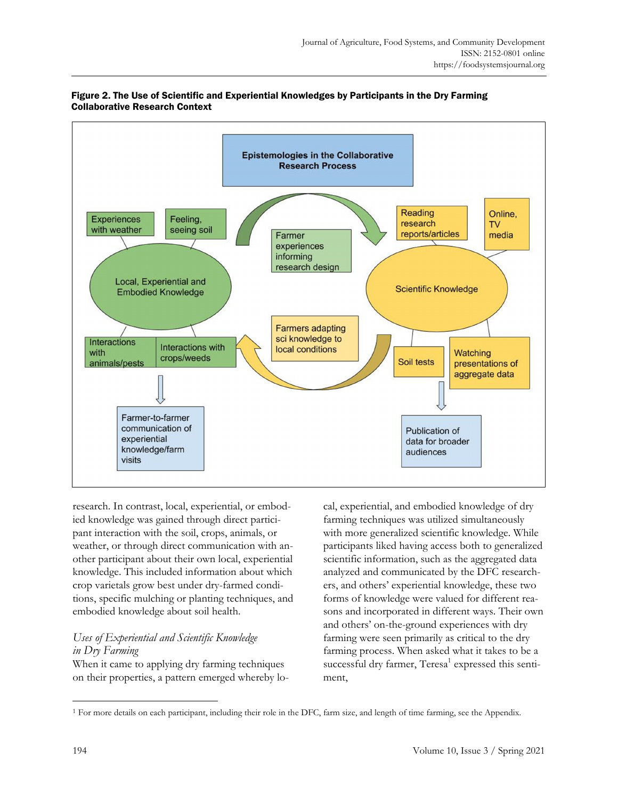

## Figure 2. The Use of Scientific and Experiential Knowledges by Participants in the Dry Farming Collaborative Research Context

research. In contrast, local, experiential, or embodied knowledge was gained through direct participant interaction with the soil, crops, animals, or weather, or through direct communication with another participant about their own local, experiential knowledge. This included information about which crop varietals grow best under dry-farmed conditions, specific mulching or planting techniques, and embodied knowledge about soil health.

# *Uses of Experiential and Scientific Knowledge in Dry Farming*

When it came to applying dry farming techniques on their properties, a pattern emerged whereby local, experiential, and embodied knowledge of dry farming techniques was utilized simultaneously with more generalized scientific knowledge. While participants liked having access both to generalized scientific information, such as the aggregated data analyzed and communicated by the DFC researchers, and others' experiential knowledge, these two forms of knowledge were valued for different reasons and incorporated in different ways. Their own and others' on-the-ground experiences with dry farming were seen primarily as critical to the dry farming process. When asked what it takes to be a successful dry farmer, Teresa<sup>1</sup> expressed this sentiment,

<sup>&</sup>lt;sup>1</sup> For more details on each participant, including their role in the DFC, farm size, and length of time farming, see the Appendix.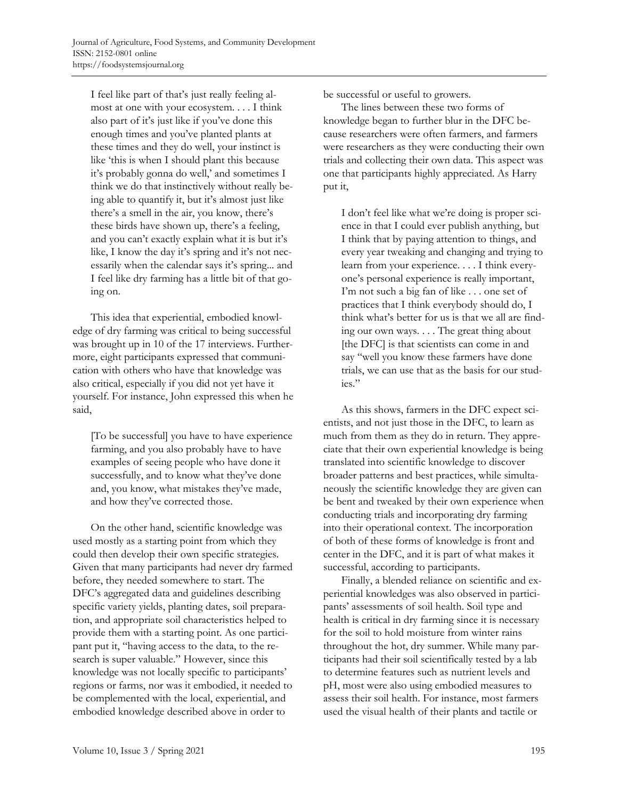I feel like part of that's just really feeling almost at one with your ecosystem. . . . I think also part of it's just like if you've done this enough times and you've planted plants at these times and they do well, your instinct is like 'this is when I should plant this because it's probably gonna do well,' and sometimes I think we do that instinctively without really being able to quantify it, but it's almost just like there's a smell in the air, you know, there's these birds have shown up, there's a feeling, and you can't exactly explain what it is but it's like, I know the day it's spring and it's not necessarily when the calendar says it's spring... and I feel like dry farming has a little bit of that going on.

 This idea that experiential, embodied knowledge of dry farming was critical to being successful was brought up in 10 of the 17 interviews. Furthermore, eight participants expressed that communication with others who have that knowledge was also critical, especially if you did not yet have it yourself. For instance, John expressed this when he said,

[To be successful] you have to have experience farming, and you also probably have to have examples of seeing people who have done it successfully, and to know what they've done and, you know, what mistakes they've made, and how they've corrected those.

 On the other hand, scientific knowledge was used mostly as a starting point from which they could then develop their own specific strategies. Given that many participants had never dry farmed before, they needed somewhere to start. The DFC's aggregated data and guidelines describing specific variety yields, planting dates, soil preparation, and appropriate soil characteristics helped to provide them with a starting point. As one participant put it, "having access to the data, to the research is super valuable." However, since this knowledge was not locally specific to participants' regions or farms, nor was it embodied, it needed to be complemented with the local, experiential, and embodied knowledge described above in order to

be successful or useful to growers.

 The lines between these two forms of knowledge began to further blur in the DFC because researchers were often farmers, and farmers were researchers as they were conducting their own trials and collecting their own data. This aspect was one that participants highly appreciated. As Harry put it,

I don't feel like what we're doing is proper science in that I could ever publish anything, but I think that by paying attention to things, and every year tweaking and changing and trying to learn from your experience. . . . I think everyone's personal experience is really important, I'm not such a big fan of like . . . one set of practices that I think everybody should do, I think what's better for us is that we all are finding our own ways. . . . The great thing about [the DFC] is that scientists can come in and say "well you know these farmers have done trials, we can use that as the basis for our studies."

 As this shows, farmers in the DFC expect scientists, and not just those in the DFC, to learn as much from them as they do in return. They appreciate that their own experiential knowledge is being translated into scientific knowledge to discover broader patterns and best practices, while simultaneously the scientific knowledge they are given can be bent and tweaked by their own experience when conducting trials and incorporating dry farming into their operational context. The incorporation of both of these forms of knowledge is front and center in the DFC, and it is part of what makes it successful, according to participants.

 Finally, a blended reliance on scientific and experiential knowledges was also observed in participants' assessments of soil health. Soil type and health is critical in dry farming since it is necessary for the soil to hold moisture from winter rains throughout the hot, dry summer. While many participants had their soil scientifically tested by a lab to determine features such as nutrient levels and pH, most were also using embodied measures to assess their soil health. For instance, most farmers used the visual health of their plants and tactile or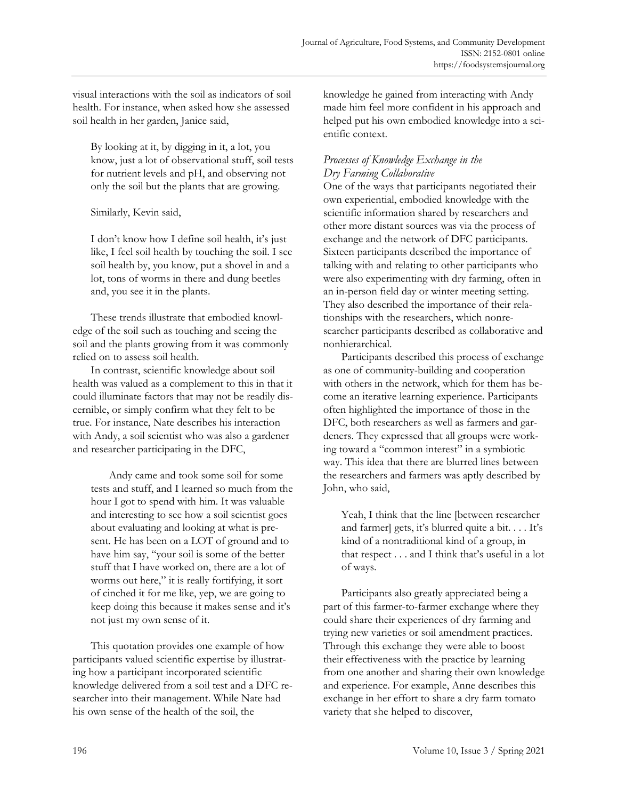visual interactions with the soil as indicators of soil health. For instance, when asked how she assessed soil health in her garden, Janice said,

By looking at it, by digging in it, a lot, you know, just a lot of observational stuff, soil tests for nutrient levels and pH, and observing not only the soil but the plants that are growing.

Similarly, Kevin said,

I don't know how I define soil health, it's just like, I feel soil health by touching the soil. I see soil health by, you know, put a shovel in and a lot, tons of worms in there and dung beetles and, you see it in the plants.

 These trends illustrate that embodied knowledge of the soil such as touching and seeing the soil and the plants growing from it was commonly relied on to assess soil health.

 In contrast, scientific knowledge about soil health was valued as a complement to this in that it could illuminate factors that may not be readily discernible, or simply confirm what they felt to be true. For instance, Nate describes his interaction with Andy, a soil scientist who was also a gardener and researcher participating in the DFC,

 Andy came and took some soil for some tests and stuff, and I learned so much from the hour I got to spend with him. It was valuable and interesting to see how a soil scientist goes about evaluating and looking at what is present. He has been on a LOT of ground and to have him say, "your soil is some of the better stuff that I have worked on, there are a lot of worms out here," it is really fortifying, it sort of cinched it for me like, yep, we are going to keep doing this because it makes sense and it's not just my own sense of it.

 This quotation provides one example of how participants valued scientific expertise by illustrating how a participant incorporated scientific knowledge delivered from a soil test and a DFC researcher into their management. While Nate had his own sense of the health of the soil, the

knowledge he gained from interacting with Andy made him feel more confident in his approach and helped put his own embodied knowledge into a scientific context.

# *Processes of Knowledge Exchange in the Dry Farming Collaborative*

One of the ways that participants negotiated their own experiential, embodied knowledge with the scientific information shared by researchers and other more distant sources was via the process of exchange and the network of DFC participants. Sixteen participants described the importance of talking with and relating to other participants who were also experimenting with dry farming, often in an in-person field day or winter meeting setting. They also described the importance of their relationships with the researchers, which nonresearcher participants described as collaborative and nonhierarchical.

 Participants described this process of exchange as one of community-building and cooperation with others in the network, which for them has become an iterative learning experience. Participants often highlighted the importance of those in the DFC, both researchers as well as farmers and gardeners. They expressed that all groups were working toward a "common interest" in a symbiotic way. This idea that there are blurred lines between the researchers and farmers was aptly described by John, who said,

Yeah, I think that the line [between researcher and farmer] gets, it's blurred quite a bit. . . . It's kind of a nontraditional kind of a group, in that respect . . . and I think that's useful in a lot of ways.

 Participants also greatly appreciated being a part of this farmer-to-farmer exchange where they could share their experiences of dry farming and trying new varieties or soil amendment practices. Through this exchange they were able to boost their effectiveness with the practice by learning from one another and sharing their own knowledge and experience. For example, Anne describes this exchange in her effort to share a dry farm tomato variety that she helped to discover,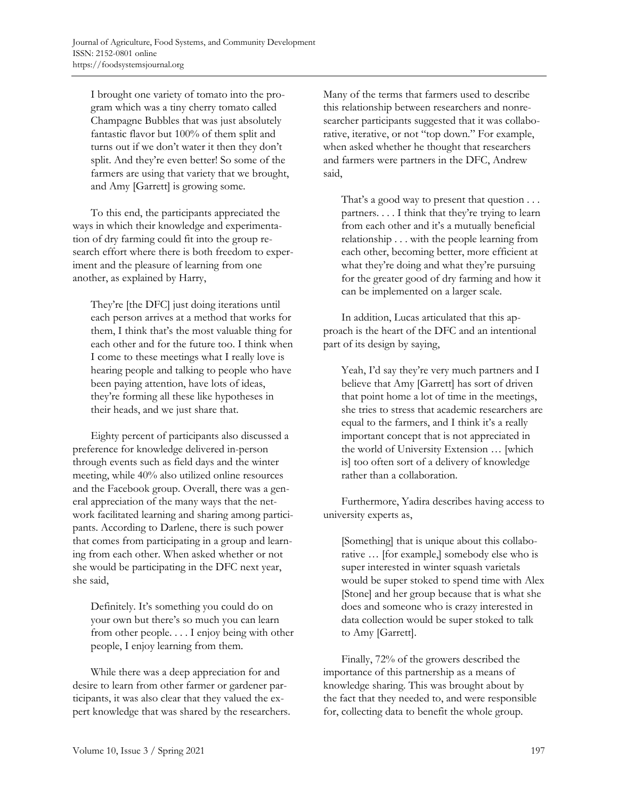I brought one variety of tomato into the program which was a tiny cherry tomato called Champagne Bubbles that was just absolutely fantastic flavor but 100% of them split and turns out if we don't water it then they don't split. And they're even better! So some of the farmers are using that variety that we brought, and Amy [Garrett] is growing some.

 To this end, the participants appreciated the ways in which their knowledge and experimentation of dry farming could fit into the group research effort where there is both freedom to experiment and the pleasure of learning from one another, as explained by Harry,

They're [the DFC] just doing iterations until each person arrives at a method that works for them, I think that's the most valuable thing for each other and for the future too. I think when I come to these meetings what I really love is hearing people and talking to people who have been paying attention, have lots of ideas, they're forming all these like hypotheses in their heads, and we just share that.

 Eighty percent of participants also discussed a preference for knowledge delivered in-person through events such as field days and the winter meeting, while 40% also utilized online resources and the Facebook group. Overall, there was a general appreciation of the many ways that the network facilitated learning and sharing among participants. According to Darlene, there is such power that comes from participating in a group and learning from each other. When asked whether or not she would be participating in the DFC next year, she said,

Definitely. It's something you could do on your own but there's so much you can learn from other people. . . . I enjoy being with other people, I enjoy learning from them.

 While there was a deep appreciation for and desire to learn from other farmer or gardener participants, it was also clear that they valued the expert knowledge that was shared by the researchers. Many of the terms that farmers used to describe this relationship between researchers and nonresearcher participants suggested that it was collaborative, iterative, or not "top down." For example, when asked whether he thought that researchers and farmers were partners in the DFC, Andrew said,

That's a good way to present that question . . . partners. . . . I think that they're trying to learn from each other and it's a mutually beneficial relationship . . . with the people learning from each other, becoming better, more efficient at what they're doing and what they're pursuing for the greater good of dry farming and how it can be implemented on a larger scale.

 In addition, Lucas articulated that this approach is the heart of the DFC and an intentional part of its design by saying,

Yeah, I'd say they're very much partners and I believe that Amy [Garrett] has sort of driven that point home a lot of time in the meetings, she tries to stress that academic researchers are equal to the farmers, and I think it's a really important concept that is not appreciated in the world of University Extension … [which is] too often sort of a delivery of knowledge rather than a collaboration.

 Furthermore, Yadira describes having access to university experts as,

[Something] that is unique about this collaborative … [for example,] somebody else who is super interested in winter squash varietals would be super stoked to spend time with Alex [Stone] and her group because that is what she does and someone who is crazy interested in data collection would be super stoked to talk to Amy [Garrett].

 Finally, 72% of the growers described the importance of this partnership as a means of knowledge sharing. This was brought about by the fact that they needed to, and were responsible for, collecting data to benefit the whole group.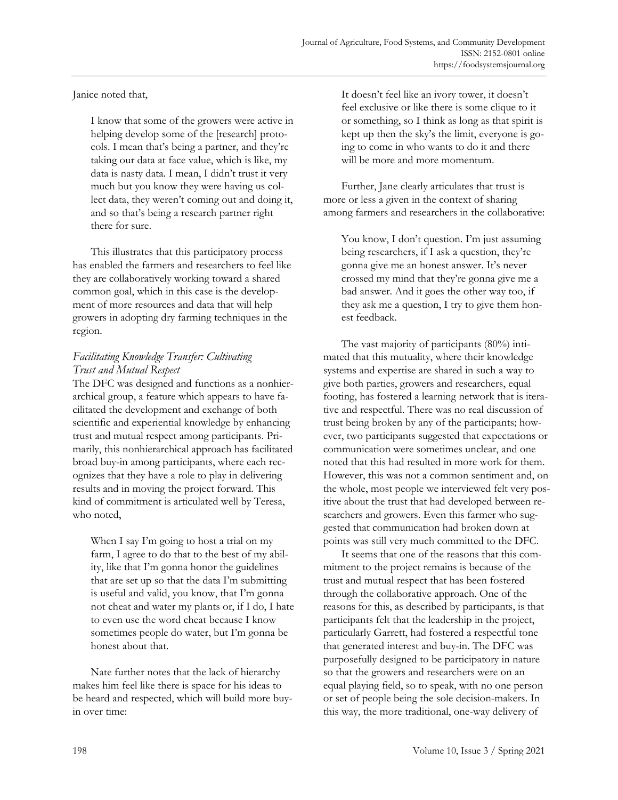# Janice noted that,

I know that some of the growers were active in helping develop some of the [research] protocols. I mean that's being a partner, and they're taking our data at face value, which is like, my data is nasty data. I mean, I didn't trust it very much but you know they were having us collect data, they weren't coming out and doing it, and so that's being a research partner right there for sure.

 This illustrates that this participatory process has enabled the farmers and researchers to feel like they are collaboratively working toward a shared common goal, which in this case is the development of more resources and data that will help growers in adopting dry farming techniques in the region.

# *Facilitating Knowledge Transfer: Cultivating Trust and Mutual Respect*

The DFC was designed and functions as a nonhierarchical group, a feature which appears to have facilitated the development and exchange of both scientific and experiential knowledge by enhancing trust and mutual respect among participants. Primarily, this nonhierarchical approach has facilitated broad buy-in among participants, where each recognizes that they have a role to play in delivering results and in moving the project forward. This kind of commitment is articulated well by Teresa, who noted,

When I say I'm going to host a trial on my farm, I agree to do that to the best of my ability, like that I'm gonna honor the guidelines that are set up so that the data I'm submitting is useful and valid, you know, that I'm gonna not cheat and water my plants or, if I do, I hate to even use the word cheat because I know sometimes people do water, but I'm gonna be honest about that.

 Nate further notes that the lack of hierarchy makes him feel like there is space for his ideas to be heard and respected, which will build more buyin over time:

It doesn't feel like an ivory tower, it doesn't feel exclusive or like there is some clique to it or something, so I think as long as that spirit is kept up then the sky's the limit, everyone is going to come in who wants to do it and there will be more and more momentum.

 Further, Jane clearly articulates that trust is more or less a given in the context of sharing among farmers and researchers in the collaborative:

You know, I don't question. I'm just assuming being researchers, if I ask a question, they're gonna give me an honest answer. It's never crossed my mind that they're gonna give me a bad answer. And it goes the other way too, if they ask me a question, I try to give them honest feedback.

 The vast majority of participants (80%) intimated that this mutuality, where their knowledge systems and expertise are shared in such a way to give both parties, growers and researchers, equal footing, has fostered a learning network that is iterative and respectful. There was no real discussion of trust being broken by any of the participants; however, two participants suggested that expectations or communication were sometimes unclear, and one noted that this had resulted in more work for them. However, this was not a common sentiment and, on the whole, most people we interviewed felt very positive about the trust that had developed between researchers and growers. Even this farmer who suggested that communication had broken down at points was still very much committed to the DFC.

 It seems that one of the reasons that this commitment to the project remains is because of the trust and mutual respect that has been fostered through the collaborative approach. One of the reasons for this, as described by participants, is that participants felt that the leadership in the project, particularly Garrett, had fostered a respectful tone that generated interest and buy-in. The DFC was purposefully designed to be participatory in nature so that the growers and researchers were on an equal playing field, so to speak, with no one person or set of people being the sole decision-makers. In this way, the more traditional, one-way delivery of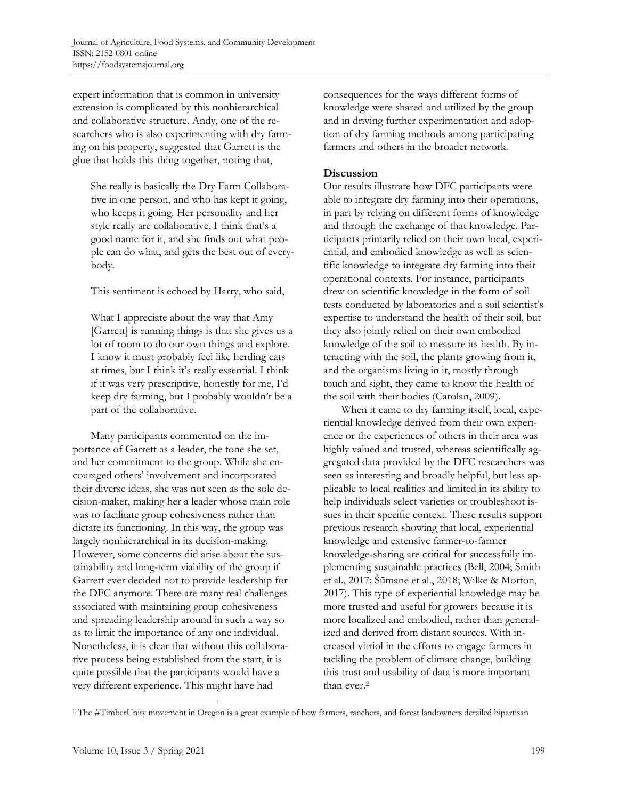expert information that is common in university extension is complicated by this nonhierarchical and collaborative structure. Andy, one of the researchers who is also experimenting with dry farming on his property, suggested that Garrett is the glue that holds this thing together, noting that,

She really is basically the Dry Farm Collaborative in one person, and who has kept it going, who keeps it going. Her personality and her style really are collaborative, I think that's a good name for it, and she finds out what people can do what, and gets the best out of everybody.

This sentiment is echoed by Harry, who said,

What I appreciate about the way that Amy [Garrett] is running things is that she gives us a lot of room to do our own things and explore. I know it must probably feel like herding cats at times, but I think it's really essential. I think if it was very prescriptive, honestly for me, I'd keep dry farming, but I probably wouldn't be a part of the collaborative.

 Many participants commented on the importance of Garrett as a leader, the tone she set, and her commitment to the group. While she encouraged others' involvement and incorporated their diverse ideas, she was not seen as the sole decision-maker, making her a leader whose main role was to facilitate group cohesiveness rather than dictate its functioning. In this way, the group was largely nonhierarchical in its decision-making. However, some concerns did arise about the sustainability and long-term viability of the group if Garrett ever decided not to provide leadership for the DFC anymore. There are many real challenges associated with maintaining group cohesiveness and spreading leadership around in such a way so as to limit the importance of any one individual. Nonetheless, it is clear that without this collaborative process being established from the start, it is quite possible that the participants would have a very different experience. This might have had

consequences for the ways different forms of knowledge were shared and utilized by the group and in driving further experimentation and adoption of dry farming methods among participating farmers and others in the broader network.

# **Discussion**

Our results illustrate how DFC participants were able to integrate dry farming into their operations, in part by relying on different forms of knowledge and through the exchange of that knowledge. Participants primarily relied on their own local, experiential, and embodied knowledge as well as scientific knowledge to integrate dry farming into their operational contexts. For instance, participants drew on scientific knowledge in the form of soil tests conducted by laboratories and a soil scientist's expertise to understand the health of their soil, but they also jointly relied on their own embodied knowledge of the soil to measure its health. By interacting with the soil, the plants growing from it, and the organisms living in it, mostly through touch and sight, they came to know the health of the soil with their bodies (Carolan, 2009).

 When it came to dry farming itself, local, experiential knowledge derived from their own experience or the experiences of others in their area was highly valued and trusted, whereas scientifically aggregated data provided by the DFC researchers was seen as interesting and broadly helpful, but less applicable to local realities and limited in its ability to help individuals select varieties or troubleshoot issues in their specific context. These results support previous research showing that local, experiential knowledge and extensive farmer-to-farmer knowledge-sharing are critical for successfully implementing sustainable practices (Bell, 2004; Smith et al., 2017; Šūmane et al., 2018; Wilke & Morton, 2017). This type of experiential knowledge may be more trusted and useful for growers because it is more localized and embodied, rather than generalized and derived from distant sources. With increased vitriol in the efforts to engage farmers in tackling the problem of climate change, building this trust and usability of data is more important than ever.2

<sup>2</sup> The #TimberUnity movement in Oregon is a great example of how farmers, ranchers, and forest landowners derailed bipartisan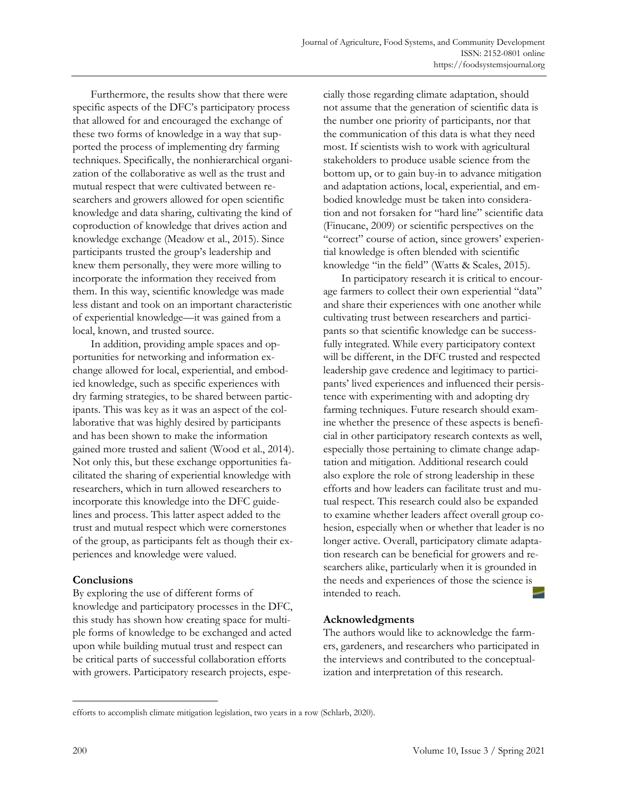Furthermore, the results show that there were specific aspects of the DFC's participatory process that allowed for and encouraged the exchange of these two forms of knowledge in a way that supported the process of implementing dry farming techniques. Specifically, the nonhierarchical organization of the collaborative as well as the trust and mutual respect that were cultivated between researchers and growers allowed for open scientific knowledge and data sharing, cultivating the kind of coproduction of knowledge that drives action and knowledge exchange (Meadow et al., 2015). Since participants trusted the group's leadership and knew them personally, they were more willing to incorporate the information they received from them. In this way, scientific knowledge was made less distant and took on an important characteristic of experiential knowledge—it was gained from a local, known, and trusted source.

 In addition, providing ample spaces and opportunities for networking and information exchange allowed for local, experiential, and embodied knowledge, such as specific experiences with dry farming strategies, to be shared between participants. This was key as it was an aspect of the collaborative that was highly desired by participants and has been shown to make the information gained more trusted and salient (Wood et al., 2014). Not only this, but these exchange opportunities facilitated the sharing of experiential knowledge with researchers, which in turn allowed researchers to incorporate this knowledge into the DFC guidelines and process. This latter aspect added to the trust and mutual respect which were cornerstones of the group, as participants felt as though their experiences and knowledge were valued.

## **Conclusions**

By exploring the use of different forms of knowledge and participatory processes in the DFC, this study has shown how creating space for multiple forms of knowledge to be exchanged and acted upon while building mutual trust and respect can be critical parts of successful collaboration efforts with growers. Participatory research projects, especially those regarding climate adaptation, should not assume that the generation of scientific data is the number one priority of participants, nor that the communication of this data is what they need most. If scientists wish to work with agricultural stakeholders to produce usable science from the bottom up, or to gain buy-in to advance mitigation and adaptation actions, local, experiential, and embodied knowledge must be taken into consideration and not forsaken for "hard line" scientific data (Finucane, 2009) or scientific perspectives on the "correct" course of action, since growers' experiential knowledge is often blended with scientific knowledge "in the field" (Watts & Scales, 2015).

 In participatory research it is critical to encourage farmers to collect their own experiential "data" and share their experiences with one another while cultivating trust between researchers and participants so that scientific knowledge can be successfully integrated. While every participatory context will be different, in the DFC trusted and respected leadership gave credence and legitimacy to participants' lived experiences and influenced their persistence with experimenting with and adopting dry farming techniques. Future research should examine whether the presence of these aspects is beneficial in other participatory research contexts as well, especially those pertaining to climate change adaptation and mitigation. Additional research could also explore the role of strong leadership in these efforts and how leaders can facilitate trust and mutual respect. This research could also be expanded to examine whether leaders affect overall group cohesion, especially when or whether that leader is no longer active. Overall, participatory climate adaptation research can be beneficial for growers and researchers alike, particularly when it is grounded in the needs and experiences of those the science is intended to reach.

# **Acknowledgments**

The authors would like to acknowledge the farmers, gardeners, and researchers who participated in the interviews and contributed to the conceptualization and interpretation of this research.

efforts to accomplish climate mitigation legislation, two years in a row (Schlarb, 2020).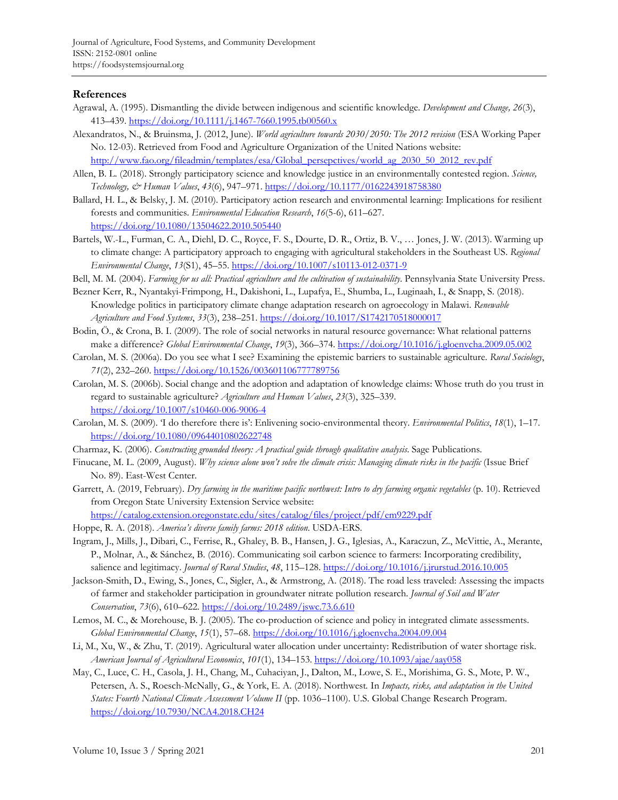#### **References**

- Agrawal, A. (1995). Dismantling the divide between indigenous and scientific knowledge. *Development and Change, 26*(3), 413–439. https://doi.org/10.1111/j.1467-7660.1995.tb00560.x
- Alexandratos, N., & Bruinsma, J. (2012, June). *World agriculture towards 2030/2050: The 2012 revision* (ESA Working Paper No. 12-03). Retrieved from Food and Agriculture Organization of the United Nations website: http://www.fao.org/fileadmin/templates/esa/Global\_persepctives/world\_ag\_2030\_50\_2012\_rev.pdf
- Allen, B. L. (2018). Strongly participatory science and knowledge justice in an environmentally contested region. *Science, Technology, & Human Values*, *43*(6), 947–971. https://doi.org/10.1177/0162243918758380
- Ballard, H. L., & Belsky, J. M. (2010). Participatory action research and environmental learning: Implications for resilient forests and communities. *Environmental Education Research*, *16*(5-6), 611–627. https://doi.org/10.1080/13504622.2010.505440
- Bartels, W.-L., Furman, C. A., Diehl, D. C., Royce, F. S., Dourte, D. R., Ortiz, B. V., … Jones, J. W. (2013). Warming up to climate change: A participatory approach to engaging with agricultural stakeholders in the Southeast US. *Regional Environmental Change*, *13*(S1), 45–55. https://doi.org/10.1007/s10113-012-0371-9
- Bell, M. M. (2004). *Farming for us all: Practical agriculture and the cultivation of sustainability*. Pennsylvania State University Press.
- Bezner Kerr, R., Nyantakyi-Frimpong, H., Dakishoni, L., Lupafya, E., Shumba, L., Luginaah, I., & Snapp, S. (2018). Knowledge politics in participatory climate change adaptation research on agroecology in Malawi. *Renewable Agriculture and Food Systems*, *33*(3), 238–251. https://doi.org/10.1017/S1742170518000017
- Bodin, Ö., & Crona, B. I. (2009). The role of social networks in natural resource governance: What relational patterns make a difference? *Global Environmental Change*, *19*(3), 366–374. https://doi.org/10.1016/j.gloenvcha.2009.05.002
- Carolan, M. S. (2006a). Do you see what I see? Examining the epistemic barriers to sustainable agriculture. *Rural Sociology*, *71*(2), 232–260. https://doi.org/10.1526/003601106777789756
- Carolan, M. S. (2006b). Social change and the adoption and adaptation of knowledge claims: Whose truth do you trust in regard to sustainable agriculture? *Agriculture and Human Values*, *23*(3), 325–339. https://doi.org/10.1007/s10460-006-9006-4
- Carolan, M. S. (2009). 'I do therefore there is': Enlivening socio-environmental theory. *Environmental Politics*, *18*(1), 1–17. https://doi.org/10.1080/09644010802622748
- Charmaz, K. (2006). *Constructing grounded theory: A practical guide through qualitative analysis*. Sage Publications.
- Finucane, M. L. (2009, August). *Why science alone won't solve the climate crisis: Managing climate risks in the pacific* (Issue Brief No. 89). East-West Center.
- Garrett, A. (2019, February). *Dry farming in the maritime pacific northwest: Intro to dry farming organic vegetables* (p. 10). Retrieved from Oregon State University Extension Service website:
	- https://catalog.extension.oregonstate.edu/sites/catalog/files/project/pdf/em9229.pdf
- Hoppe, R. A. (2018). *America's diverse family farms: 2018 edition*. USDA-ERS.
- Ingram, J., Mills, J., Dibari, C., Ferrise, R., Ghaley, B. B., Hansen, J. G., Iglesias, A., Karaczun, Z., McVittie, A., Merante, P., Molnar, A., & Sánchez, B. (2016). Communicating soil carbon science to farmers: Incorporating credibility, salience and legitimacy. *Journal of Rural Studies*, *48*, 115–128. https://doi.org/10.1016/j.jrurstud.2016.10.005
- Jackson-Smith, D., Ewing, S., Jones, C., Sigler, A., & Armstrong, A. (2018). The road less traveled: Assessing the impacts of farmer and stakeholder participation in groundwater nitrate pollution research. *Journal of Soil and Water Conservation*, *73*(6), 610–622. https://doi.org/10.2489/jswc.73.6.610
- Lemos, M. C., & Morehouse, B. J. (2005). The co-production of science and policy in integrated climate assessments. *Global Environmental Change*, *15*(1), 57–68. https://doi.org/10.1016/j.gloenvcha.2004.09.004
- Li, M., Xu, W., & Zhu, T. (2019). Agricultural water allocation under uncertainty: Redistribution of water shortage risk. *American Journal of Agricultural Economics*, *101*(1), 134–153. https://doi.org/10.1093/ajae/aay058
- May, C., Luce, C. H., Casola, J. H., Chang, M., Cuhaciyan, J., Dalton, M., Lowe, S. E., Morishima, G. S., Mote, P. W., Petersen, A. S., Roesch-McNally, G., & York, E. A. (2018). Northwest*.* In *Impacts, risks, and adaptation in the United States: Fourth National Climate Assessment Volume II* (pp. 1036–1100). U.S. Global Change Research Program. https://doi.org/10.7930/NCA4.2018.CH24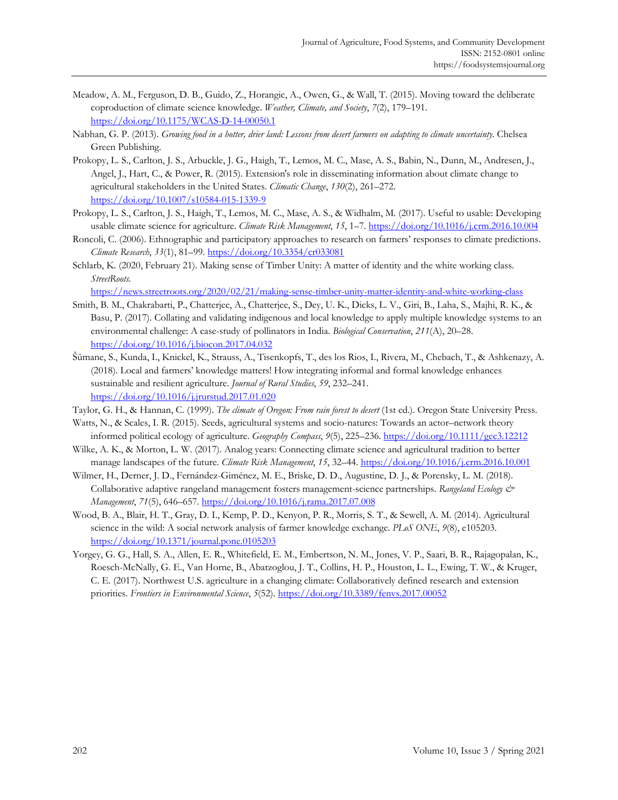- Meadow, A. M., Ferguson, D. B., Guido, Z., Horangic, A., Owen, G., & Wall, T. (2015). Moving toward the deliberate coproduction of climate science knowledge. *Weather, Climate, and Society*, *7*(2), 179–191. https://doi.org/10.1175/WCAS-D-14-00050.1
- Nabhan, G. P. (2013). *Growing food in a hotter, drier land: Lessons from desert farmers on adapting to climate uncertainty*. Chelsea Green Publishing.
- Prokopy, L. S., Carlton, J. S., Arbuckle, J. G., Haigh, T., Lemos, M. C., Mase, A. S., Babin, N., Dunn, M., Andresen, J., Angel, J., Hart, C., & Power, R. (2015). Extension′s role in disseminating information about climate change to agricultural stakeholders in the United States. *Climatic Change*, *130*(2), 261–272. https://doi.org/10.1007/s10584-015-1339-9
- Prokopy, L. S., Carlton, J. S., Haigh, T., Lemos, M. C., Mase, A. S., & Widhalm, M. (2017). Useful to usable: Developing usable climate science for agriculture. *Climate Risk Management*, *15*, 1–7. https://doi.org/10.1016/j.crm.2016.10.004
- Roncoli, C. (2006). Ethnographic and participatory approaches to research on farmers' responses to climate predictions. *Climate Research*, *33*(1), 81–99. https://doi.org/10.3354/cr033081
- Schlarb, K. (2020, February 21). Making sense of Timber Unity: A matter of identity and the white working class. *StreetRoots*.

https://news.streetroots.org/2020/02/21/making-sense-timber-unity-matter-identity-and-white-working-class

- Smith, B. M., Chakrabarti, P., Chatterjee, A., Chatterjee, S., Dey, U. K., Dicks, L. V., Giri, B., Laha, S., Majhi, R. K., & Basu, P. (2017). Collating and validating indigenous and local knowledge to apply multiple knowledge systems to an environmental challenge: A case-study of pollinators in India. *Biological Conservation*, *211*(A), 20–28. https://doi.org/10.1016/j.biocon.2017.04.032
- Šūmane, S., Kunda, I., Knickel, K., Strauss, A., Tisenkopfs, T., des los Rios, I., Rivera, M., Chebach, T., & Ashkenazy, A. (2018). Local and farmers' knowledge matters! How integrating informal and formal knowledge enhances sustainable and resilient agriculture. *Journal of Rural Studies*, *59*, 232–241. https://doi.org/10.1016/j.jrurstud.2017.01.020
- Taylor, G. H., & Hannan, C. (1999). *The climate of Oregon: From rain forest to desert* (1st ed.). Oregon State University Press.
- Watts, N., & Scales, I. R. (2015). Seeds, agricultural systems and socio-natures: Towards an actor–network theory informed political ecology of agriculture. *Geography Compass*, *9*(5), 225–236. https://doi.org/10.1111/gec3.12212
- Wilke, A. K., & Morton, L. W. (2017). Analog years: Connecting climate science and agricultural tradition to better manage landscapes of the future. *Climate Risk Management*, *15*, 32–44. https://doi.org/10.1016/j.crm.2016.10.001
- Wilmer, H., Derner, J. D., Fernández-Giménez, M. E., Briske, D. D., Augustine, D. J., & Porensky, L. M. (2018). Collaborative adaptive rangeland management fosters management-science partnerships. *Rangeland Ecology & Management*, *71*(5), 646–657. https://doi.org/10.1016/j.rama.2017.07.008
- Wood, B. A., Blair, H. T., Gray, D. I., Kemp, P. D., Kenyon, P. R., Morris, S. T., & Sewell, A. M. (2014). Agricultural science in the wild: A social network analysis of farmer knowledge exchange. *PLoS ONE*, *9*(8), e105203. https://doi.org/10.1371/journal.pone.0105203
- Yorgey, G. G., Hall, S. A., Allen, E. R., Whitefield, E. M., Embertson, N. M., Jones, V. P., Saari, B. R., Rajagopalan, K., Roesch-McNally, G. E., Van Horne, B., Abatzoglou, J. T., Collins, H. P., Houston, L. L., Ewing, T. W., & Kruger, C. E. (2017). Northwest U.S. agriculture in a changing climate: Collaboratively defined research and extension priorities. *Frontiers in Environmental Science*, *5*(52). https://doi.org/10.3389/fenvs.2017.00052